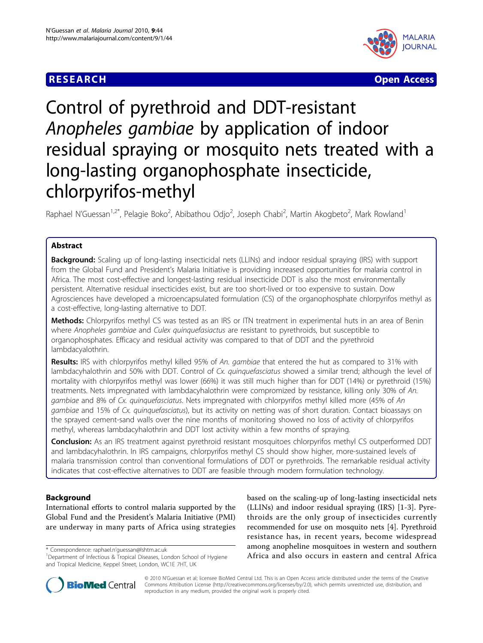### **RESEARCH CONSTRUCTION CONSTRUCTS**



# Control of pyrethroid and DDT-resistant Anopheles gambiae by application of indoor residual spraying or mosquito nets treated with a long-lasting organophosphate insecticide, chlorpyrifos-methyl

Raphael N'Guessan<sup>1,2\*</sup>, Pelagie Boko<sup>2</sup>, Abibathou Odjo<sup>2</sup>, Joseph Chabi<sup>2</sup>, Martin Akogbeto<sup>2</sup>, Mark Rowland<sup>1</sup>

#### Abstract

**Background:** Scaling up of long-lasting insecticidal nets (LLINs) and indoor residual spraying (IRS) with support from the Global Fund and President's Malaria Initiative is providing increased opportunities for malaria control in Africa. The most cost-effective and longest-lasting residual insecticide DDT is also the most environmentally persistent. Alternative residual insecticides exist, but are too short-lived or too expensive to sustain. Dow Agrosciences have developed a microencapsulated formulation (CS) of the organophosphate chlorpyrifos methyl as a cost-effective, long-lasting alternative to DDT.

Methods: Chlorpyrifos methyl CS was tested as an IRS or ITN treatment in experimental huts in an area of Benin where Anopheles gambiae and Culex quinquefasiactus are resistant to pyrethroids, but susceptible to organophosphates. Efficacy and residual activity was compared to that of DDT and the pyrethroid lambdacyalothrin.

Results: IRS with chlorpyrifos methyl killed 95% of An. gambiae that entered the hut as compared to 31% with lambdacyhalothrin and 50% with DDT. Control of Cx. quinquefasciatus showed a similar trend; although the level of mortality with chlorpyrifos methyl was lower (66%) it was still much higher than for DDT (14%) or pyrethroid (15%) treatments. Nets impregnated with lambdacyhalothrin were compromized by resistance, killing only 30% of An. gambiae and 8% of Cx. quinquefasciatus. Nets impregnated with chlorpyrifos methyl killed more (45% of An gambiae and 15% of Cx. quinquefasciatus), but its activity on netting was of short duration. Contact bioassays on the sprayed cement-sand walls over the nine months of monitoring showed no loss of activity of chlorpyrifos methyl, whereas lambdacyhalothrin and DDT lost activity within a few months of spraying.

Conclusion: As an IRS treatment against pyrethroid resistant mosquitoes chlorpyrifos methyl CS outperformed DDT and lambdacyhalothrin. In IRS campaigns, chlorpyrifos methyl CS should show higher, more-sustained levels of malaria transmission control than conventional formulations of DDT or pyrethroids. The remarkable residual activity indicates that cost-effective alternatives to DDT are feasible through modern formulation technology.

#### Background

International efforts to control malaria supported by the Global Fund and the President's Malaria Initiative (PMI) are underway in many parts of Africa using strategies

based on the scaling-up of long-lasting insecticidal nets (LLINs) and indoor residual spraying (IRS) [[1-3\]](#page-6-0). Pyrethroids are the only group of insecticides currently recommended for use on mosquito nets [[4\]](#page-6-0). Pyrethroid resistance has, in recent years, become widespread among anopheline mosquitoes in western and southern Correspondence: raphael.n'guessan@Ishtm.ac.uk<br>
<sup>1</sup>Department of Infectious & Tropical Diseases, London School of Hygiene **1996 Africa and also occurs in eastern and central Africa** 



© 2010 N'Guessan et al; licensee BioMed Central Ltd. This is an Open Access article distributed under the terms of the Creative Commons Attribution License [\(http://creativecommons.org/licenses/by/2.0](http://creativecommons.org/licenses/by/2.0)), which permits unrestricted use, distribution, and reproduction in any medium, provided the original work is properly cited.

<sup>&</sup>lt;sup>1</sup>Department of Infectious & Tropical Diseases, London School of Hygiene and Tropical Medicine, Keppel Street, London, WC1E 7HT, UK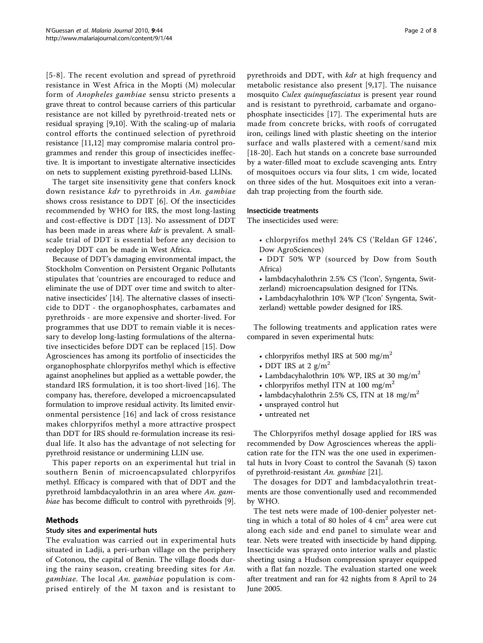[[5](#page-6-0)-[8\]](#page-6-0). The recent evolution and spread of pyrethroid resistance in West Africa in the Mopti (M) molecular form of Anopheles gambiae sensu stricto presents a grave threat to control because carriers of this particular resistance are not killed by pyrethroid-treated nets or residual spraying [\[9](#page-6-0),[10\]](#page-6-0). With the scaling-up of malaria control efforts the continued selection of pyrethroid resistance [\[11,12](#page-6-0)] may compromise malaria control programmes and render this group of insecticides ineffective. It is important to investigate alternative insecticides on nets to supplement existing pyrethroid-based LLINs.

The target site insensitivity gene that confers knock down resistance kdr to pyrethroids in An. gambiae shows cross resistance to DDT [\[6\]](#page-6-0). Of the insecticides recommended by WHO for IRS, the most long-lasting and cost-effective is DDT [[13\]](#page-6-0). No assessment of DDT has been made in areas where *kdr* is prevalent. A smallscale trial of DDT is essential before any decision to redeploy DDT can be made in West Africa.

Because of DDT's damaging environmental impact, the Stockholm Convention on Persistent Organic Pollutants stipulates that 'countries are encouraged to reduce and eliminate the use of DDT over time and switch to alternative insecticides' [\[14\]](#page-6-0). The alternative classes of insecticide to DDT - the organophosphates, carbamates and pyrethroids - are more expensive and shorter-lived. For programmes that use DDT to remain viable it is necessary to develop long-lasting formulations of the alternative insecticides before DDT can be replaced [\[15\]](#page-6-0). Dow Agrosciences has among its portfolio of insecticides the organophosphate chlorpyrifos methyl which is effective against anophelines but applied as a wettable powder, the standard IRS formulation, it is too short-lived [\[16\]](#page-7-0). The company has, therefore, developed a microencapsulated formulation to improve residual activity. Its limited environmental persistence [[16\]](#page-7-0) and lack of cross resistance makes chlorpyrifos methyl a more attractive prospect than DDT for IRS should re-formulation increase its residual life. It also has the advantage of not selecting for pyrethroid resistance or undermining LLIN use.

This paper reports on an experimental hut trial in southern Benin of microencapsulated chlorpyrifos methyl. Efficacy is compared with that of DDT and the pyrethroid lambdacyalothrin in an area where An. gambiae has become difficult to control with pyrethroids [\[9](#page-6-0)].

#### Methods

#### Study sites and experimental huts

The evaluation was carried out in experimental huts situated in Ladji, a peri-urban village on the periphery of Cotonou, the capital of Benin. The village floods during the rainy season, creating breeding sites for An. gambiae. The local An. gambiae population is comprised entirely of the M taxon and is resistant to pyrethroids and DDT, with *kdr* at high frequency and metabolic resistance also present [[9](#page-6-0),[17\]](#page-7-0). The nuisance mosquito Culex quinquefasciatus is present year round and is resistant to pyrethroid, carbamate and organophosphate insecticides [[17\]](#page-7-0). The experimental huts are made from concrete bricks, with roofs of corrugated iron, ceilings lined with plastic sheeting on the interior surface and walls plastered with a cement/sand mix [[18-20](#page-7-0)]. Each hut stands on a concrete base surrounded by a water-filled moat to exclude scavenging ants. Entry of mosquitoes occurs via four slits, 1 cm wide, located on three sides of the hut. Mosquitoes exit into a verandah trap projecting from the fourth side.

#### Insecticide treatments

The insecticides used were:

- chlorpyrifos methyl 24% CS ('Reldan GF 1246', Dow AgroSciences)
- DDT 50% WP (sourced by Dow from South Africa)
- lambdacyhalothrin 2.5% CS ('Icon', Syngenta, Switzerland) microencapsulation designed for ITNs.
- Lambdacyhalothrin 10% WP ('Icon' Syngenta, Switzerland) wettable powder designed for IRS.

The following treatments and application rates were compared in seven experimental huts:

- chlorpyrifos methyl IRS at 500 mg/m<sup>2</sup>
- DDT IRS at 2  $g/m^2$
- Lambdacyhalothrin 10% WP, IRS at 30 mg/m<sup>2</sup>
- chlorpyrifos methyl ITN at 100 mg/m<sup>2</sup>
- lambdacyhalothrin 2.5% CS, ITN at 18 mg/m<sup>2</sup>
- unsprayed control hut
- untreated net

The Chlorpyrifos methyl dosage applied for IRS was recommended by Dow Agrosciences whereas the application rate for the ITN was the one used in experimental huts in Ivory Coast to control the Savanah (S) taxon of pyrethroid-resistant An. gambiae [\[21\]](#page-7-0).

The dosages for DDT and lambdacyalothrin treatments are those conventionally used and recommended by WHO.

The test nets were made of 100-denier polyester netting in which a total of 80 holes of  $4 \text{ cm}^2$  area were cut along each side and end panel to simulate wear and tear. Nets were treated with insecticide by hand dipping. Insecticide was sprayed onto interior walls and plastic sheeting using a Hudson compression sprayer equipped with a flat fan nozzle. The evaluation started one week after treatment and ran for 42 nights from 8 April to 24 June 2005.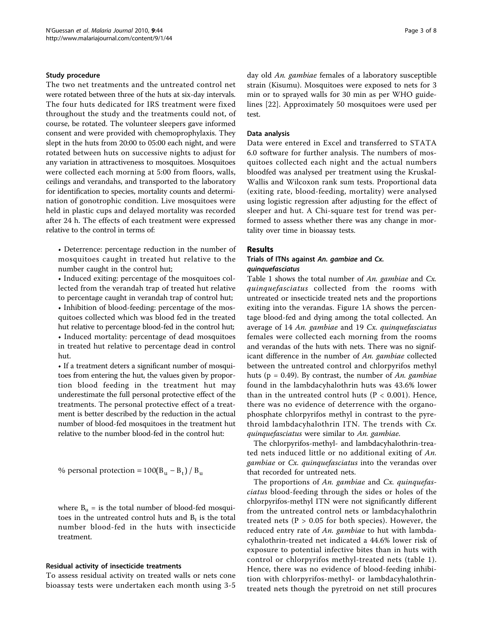#### Study procedure

The two net treatments and the untreated control net were rotated between three of the huts at six-day intervals. The four huts dedicated for IRS treatment were fixed throughout the study and the treatments could not, of course, be rotated. The volunteer sleepers gave informed consent and were provided with chemoprophylaxis. They slept in the huts from 20:00 to 05:00 each night, and were rotated between huts on successive nights to adjust for any variation in attractiveness to mosquitoes. Mosquitoes were collected each morning at 5:00 from floors, walls, ceilings and verandahs, and transported to the laboratory for identification to species, mortality counts and determination of gonotrophic condition. Live mosquitoes were held in plastic cups and delayed mortality was recorded after 24 h. The effects of each treatment were expressed relative to the control in terms of:

• Deterrence: percentage reduction in the number of mosquitoes caught in treated hut relative to the number caught in the control hut;

• Induced exiting: percentage of the mosquitoes collected from the verandah trap of treated hut relative to percentage caught in verandah trap of control hut; • Inhibition of blood-feeding: percentage of the mosquitoes collected which was blood fed in the treated hut relative to percentage blood-fed in the control hut; • Induced mortality: percentage of dead mosquitoes in treated hut relative to percentage dead in control hut.

• If a treatment deters a significant number of mosquitoes from entering the hut, the values given by proportion blood feeding in the treatment hut may underestimate the full personal protective effect of the treatments. The personal protective effect of a treatment is better described by the reduction in the actual number of blood-fed mosquitoes in the treatment hut relative to the number blood-fed in the control hut:

% personal protection =  $100(B<sub>u</sub> - B<sub>t</sub>) / B<sub>u</sub>$ 

where  $B_u$  = is the total number of blood-fed mosquitoes in the untreated control huts and  $B_t$  is the total number blood-fed in the huts with insecticide treatment.

#### Residual activity of insecticide treatments

To assess residual activity on treated walls or nets cone bioassay tests were undertaken each month using 3-5 day old An. gambiae females of a laboratory susceptible strain (Kisumu). Mosquitoes were exposed to nets for 3 min or to sprayed walls for 30 min as per WHO guidelines [[22\]](#page-7-0). Approximately 50 mosquitoes were used per test.

#### Data analysis

Data were entered in Excel and transferred to STATA 6.0 software for further analysis. The numbers of mosquitoes collected each night and the actual numbers bloodfed was analysed per treatment using the Kruskal-Wallis and Wilcoxon rank sum tests. Proportional data (exiting rate, blood-feeding, mortality) were analysed using logistic regression after adjusting for the effect of sleeper and hut. A Chi-square test for trend was performed to assess whether there was any change in mortality over time in bioassay tests.

#### Results

## Trials of ITNs against An. gambiae and Cx.<br>quinquefasciatus

Table [1](#page-3-0) shows the total number of An. gambiae and  $Cx$ . quinquefasciatus collected from the rooms with untreated or insecticide treated nets and the proportions exiting into the verandas. Figure [1A](#page-4-0) shows the percentage blood-fed and dying among the total collected. An average of 14 An. gambiae and 19 Cx. quinquefasciatus females were collected each morning from the rooms and verandas of the huts with nets. There was no significant difference in the number of An. gambiae collected between the untreated control and chlorpyrifos methyl huts ( $p = 0.49$ ). By contrast, the number of An. gambiae found in the lambdacyhalothrin huts was 43.6% lower than in the untreated control huts ( $P < 0.001$ ). Hence, there was no evidence of deterrence with the organophosphate chlorpyrifos methyl in contrast to the pyrethroid lambdacyhalothrin ITN. The trends with Cx. quinquefasciatus were similar to An. gambiae.

The chlorpyrifos-methyl- and lambdacyhalothrin-treated nets induced little or no additional exiting of An. gambiae or Cx. quinquefasciatus into the verandas over that recorded for untreated nets.

The proportions of An. gambiae and Cx. quinquefasciatus blood-feeding through the sides or holes of the chlorpyrifos-methyl ITN were not significantly different from the untreated control nets or lambdacyhalothrin treated nets ( $P > 0.05$  for both species). However, the reduced entry rate of An. gambiae to hut with lambdacyhalothrin-treated net indicated a 44.6% lower risk of exposure to potential infective bites than in huts with control or chlorpyrifos methyl-treated nets (table [1\)](#page-3-0). Hence, there was no evidence of blood-feeding inhibition with chlorpyrifos-methyl- or lambdacyhalothrintreated nets though the pyretroid on net still procures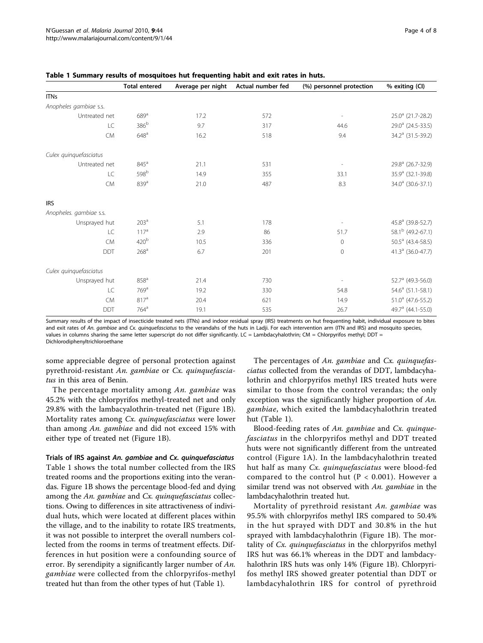|                         | <b>Total entered</b> | Average per night | Actual number fed | (%) personnel protection | % exiting (CI)                |
|-------------------------|----------------------|-------------------|-------------------|--------------------------|-------------------------------|
| <b>ITNs</b>             |                      |                   |                   |                          |                               |
| Anopheles gambiae s.s.  |                      |                   |                   |                          |                               |
| Untreated net           | $689$ <sup>a</sup>   | 17.2              | 572               | $\overline{\phantom{a}}$ | 25.0 <sup>a</sup> (21.7-28.2) |
| LC                      | 386 <sup>b</sup>     | 9.7               | 317               | 44.6                     | 29.0 <sup>a</sup> (24.5-33.5) |
| <b>CM</b>               | 648 <sup>a</sup>     | 16.2              | 518               | 9.4                      | 34.2 <sup>a</sup> (31.5-39.2) |
| Culex quinquefasciatus  |                      |                   |                   |                          |                               |
| Untreated net           | $845^a$              | 21.1              | 531               | $\overline{\phantom{a}}$ | $29.8^a$ (26.7-32.9)          |
| LC                      | 598 <sup>b</sup>     | 14.9              | 355               | 33.1                     | 35.9 <sup>a</sup> (32.1-39.8) |
| <b>CM</b>               | 839 <sup>a</sup>     | 21.0              | 487               | 8.3                      | $34.0^a$ (30.6-37.1)          |
| <b>IRS</b>              |                      |                   |                   |                          |                               |
| Anopheles. gambiae s.s. |                      |                   |                   |                          |                               |
| Unsprayed hut           | 203 <sup>a</sup>     | 5.1               | 178               |                          | 45.8 <sup>a</sup> (39.8-52.7) |
| LC                      | $117^a$              | 2.9               | 86                | 51.7                     | 58.1 <sup>b</sup> (49.2-67.1) |
| <b>CM</b>               | 420 <sup>b</sup>     | 10.5              | 336               | $\mathbf 0$              | $50.5^a$ (43.4-58.5)          |
| <b>DDT</b>              | 268 <sup>a</sup>     | 6.7               | 201               | $\mathbf{0}$             | 41.3 $^a$ (36.0-47.7)         |
| Culex quinquefasciatus  |                      |                   |                   |                          |                               |
| Unsprayed hut           | 858 <sup>a</sup>     | 21.4              | 730               | $\overline{\phantom{a}}$ | 52.7 <sup>a</sup> (49.3-56.0) |
| LC                      | 769 <sup>a</sup>     | 19.2              | 330               | 54.8                     | $54.6^a$ (51.1-58.1)          |
| <b>CM</b>               | $817^a$              | 20.4              | 621               | 14.9                     | $51.0^a$ (47.6-55.2)          |
| <b>DDT</b>              | $764$ <sup>a</sup>   | 19.1              | 535               | 26.7                     | 49.7 <sup>a</sup> (44.1-55.0) |

<span id="page-3-0"></span>

Summary results of the impact of insecticide treated nets (ITNs) and indoor residual spray (IRS) treatments on hut frequenting habit, individual exposure to bites and exit rates of An. gambiae and Cx. quinquefasciatus to the verandahs of the huts in Ladji. For each intervention arm (ITN and IRS) and mosquito species, values in columns sharing the same letter superscript do not differ significantly. LC = Lambdacyhalothrin; CM = Chlorpyrifos methyl; DDT = Dichlorodiphenyltrichloroethane

some appreciable degree of personal protection against pyrethroid-resistant An. gambiae or Cx. quinquefasciatus in this area of Benin.

The percentage mortality among An. gambiae was 45.2% with the chlorpyrifos methyl-treated net and only 29.8% with the lambacyalothrin-treated net (Figure [1B](#page-4-0)). Mortality rates among Cx. quinquefasciatus were lower than among An. gambiae and did not exceed 15% with either type of treated net (Figure [1B](#page-4-0)).

Trials of IRS against An. gambiae and Cx. quinquefasciatus Table 1 shows the total number collected from the IRS treated rooms and the proportions exiting into the verandas. Figure [1B](#page-4-0) shows the percentage blood-fed and dying among the An. gambiae and Cx. quinquefasciatus collections. Owing to differences in site attractiveness of individual huts, which were located at different places within the village, and to the inability to rotate IRS treatments, it was not possible to interpret the overall numbers collected from the rooms in terms of treatment effects. Differences in hut position were a confounding source of error. By serendipity a significantly larger number of An. gambiae were collected from the chlorpyrifos-methyl treated hut than from the other types of hut (Table 1).

The percentages of An. gambiae and Cx. quinquefasciatus collected from the verandas of DDT, lambdacyhalothrin and chlorpyrifos methyl IRS treated huts were similar to those from the control verandas; the only exception was the significantly higher proportion of An. gambiae, which exited the lambdacyhalothrin treated hut (Table 1).

Blood-feeding rates of An. gambiae and Cx. quinquefasciatus in the chlorpyrifos methyl and DDT treated huts were not significantly different from the untreated control (Figure [1A\)](#page-4-0). In the lambdacyhalothrin treated hut half as many Cx. quinquefasciatus were blood-fed compared to the control hut ( $P < 0.001$ ). However a similar trend was not observed with An. gambiae in the lambdacyhalothrin treated hut.

Mortality of pyrethroid resistant An. gambiae was 95.5% with chlorpyrifos methyl IRS compared to 50.4% in the hut sprayed with DDT and 30.8% in the hut sprayed with lambdacyhalothrin (Figure [1B](#page-4-0)). The mortality of Cx. quinquefasciatus in the chlorpyrifos methyl IRS hut was 66.1% whereas in the DDT and lambdacyhalothrin IRS huts was only 14% (Figure [1B\)](#page-4-0). Chlorpyrifos methyl IRS showed greater potential than DDT or lambdacyhalothrin IRS for control of pyrethroid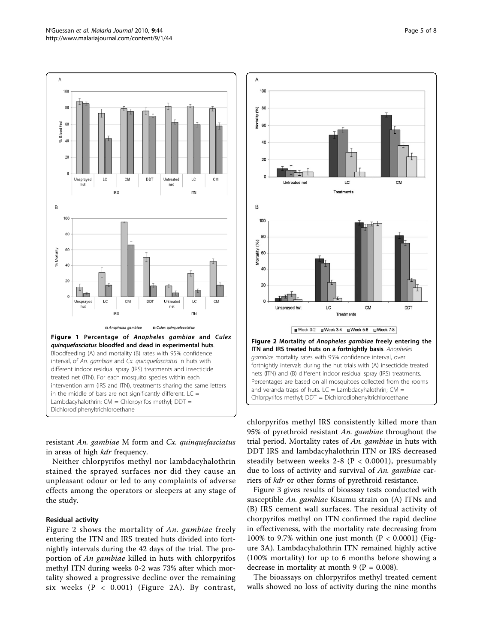<span id="page-4-0"></span>

resistant An. gambiae M form and Cx. quinquefasciatus in areas of high *kdr* frequency.

Neither chlorpyrifos methyl nor lambdacyhalothrin stained the sprayed surfaces nor did they cause an unpleasant odour or led to any complaints of adverse effects among the operators or sleepers at any stage of the study.

#### Residual activity

Figure 2 shows the mortality of An. gambiae freely entering the ITN and IRS treated huts divided into fortnightly intervals during the 42 days of the trial. The proportion of An gambiae killed in huts with chlorpyrifos methyl ITN during weeks 0-2 was 73% after which mortality showed a progressive decline over the remaining six weeks (P < 0.001) (Figure 2A). By contrast,



chlorpyrifos methyl IRS consistently killed more than 95% of pyrethroid resistant An. gambiae throughout the trial period. Mortality rates of An. gambiae in huts with DDT IRS and lambdacyhalothrin ITN or IRS decreased steadily between weeks  $2-8$  (P < 0.0001), presumably due to loss of activity and survival of An. gambiae carriers of kdr or other forms of pyrethroid resistance.

Figure [3](#page-5-0) gives results of bioassay tests conducted with susceptible An. gambiae Kisumu strain on (A) ITNs and (B) IRS cement wall surfaces. The residual activity of chorpyrifos methyl on ITN confirmed the rapid decline in effectiveness, with the mortality rate decreasing from 100% to 9.7% within one just month ( $P < 0.0001$ ) (Figure [3A](#page-5-0)). Lambdacyhalothrin ITN remained highly active (100% mortality) for up to 6 months before showing a decrease in mortality at month 9 ( $P = 0.008$ ).

The bioassays on chlorpyrifos methyl treated cement walls showed no loss of activity during the nine months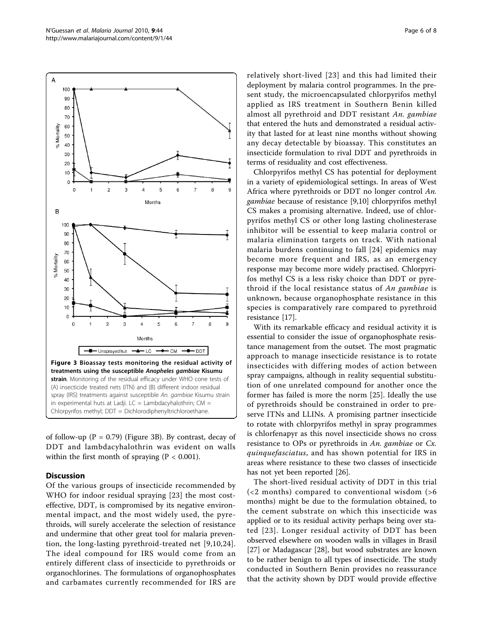of follow-up ( $P = 0.79$ ) (Figure 3B). By contrast, decay of DDT and lambdacyhalothrin was evident on walls within the first month of spraying ( $P < 0.001$ ).

#### **Discussion**

Of the various groups of insecticide recommended by WHO for indoor residual spraying [[23\]](#page-7-0) the most costeffective, DDT, is compromised by its negative environmental impact, and the most widely used, the pyrethroids, will surely accelerate the selection of resistance and undermine that other great tool for malaria prevention, the long-lasting pyrethroid-treated net [\[9,10](#page-6-0),[24](#page-7-0)]. The ideal compound for IRS would come from an entirely different class of insecticide to pyrethroids or organochlorines. The formulations of organophosphates and carbamates currently recommended for IRS are relatively short-lived [[23](#page-7-0)] and this had limited their deployment by malaria control programmes. In the present study, the microencapsulated chlorpyrifos methyl applied as IRS treatment in Southern Benin killed almost all pyrethroid and DDT resistant An. gambiae that entered the huts and demonstrated a residual activity that lasted for at least nine months without showing any decay detectable by bioassay. This constitutes an insecticide formulation to rival DDT and pyrethroids in terms of residuality and cost effectiveness.

Chlorpyrifos methyl CS has potential for deployment in a variety of epidemiological settings. In areas of West Africa where pyrethroids or DDT no longer control An. gambiae because of resistance [\[9,10](#page-6-0)] chlorpyrifos methyl CS makes a promising alternative. Indeed, use of chlorpyrifos methyl CS or other long lasting cholinesterase inhibitor will be essential to keep malaria control or malaria elimination targets on track. With national malaria burdens continuing to fall [[24\]](#page-7-0) epidemics may become more frequent and IRS, as an emergency response may become more widely practised. Chlorpyrifos methyl CS is a less risky choice than DDT or pyrethroid if the local resistance status of An gambiae is unknown, because organophosphate resistance in this species is comparatively rare compared to pyrethroid resistance [[17\]](#page-7-0).

With its remarkable efficacy and residual activity it is essential to consider the issue of organophosphate resistance management from the outset. The most pragmatic approach to manage insecticide resistance is to rotate insecticides with differing modes of action between spray campaigns, although in reality sequential substitution of one unrelated compound for another once the former has failed is more the norm [\[25](#page-7-0)]. Ideally the use of pyrethroids should be constrained in order to preserve ITNs and LLINs. A promising partner insecticide to rotate with chlorpyrifos methyl in spray programmes is chlorfenapyr as this novel insecticide shows no cross resistance to OPs or pyrethroids in An. gambiae or Cx. quinquefasciatus, and has shown potential for IRS in areas where resistance to these two classes of insecticide has not yet been reported [[26\]](#page-7-0).

The short-lived residual activity of DDT in this trial (<2 months) compared to conventional wisdom (>6 months) might be due to the formulation obtained, to the cement substrate on which this insecticide was applied or to its residual activity perhaps being over stated [[23](#page-7-0)]. Longer residual activity of DDT has been observed elsewhere on wooden walls in villages in Brasil [[27\]](#page-7-0) or Madagascar [[28\]](#page-7-0), but wood substrates are known to be rather benign to all types of insecticide. The study conducted in Southern Benin provides no reassurance that the activity shown by DDT would provide effective

<span id="page-5-0"></span>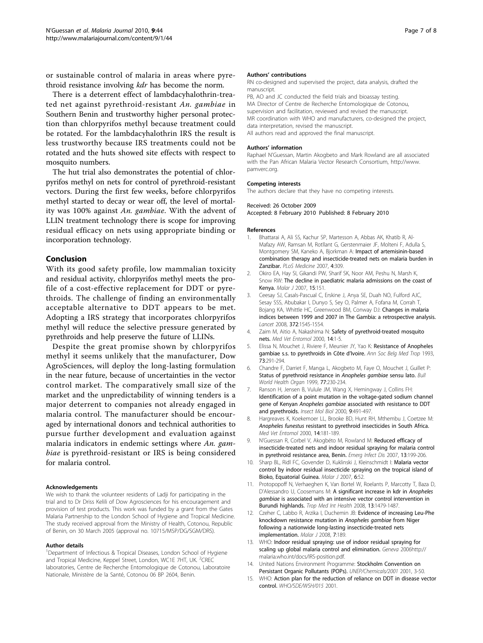<span id="page-6-0"></span>or sustainable control of malaria in areas where pyrethroid resistance involving *kdr* has become the norm.

There is a deterrent effect of lambdacyhalothrin-treated net against pyrethroid-resistant An. gambiae in Southern Benin and trustworthy higher personal protection than chlorpyrifos methyl because treatment could be rotated. For the lambdacyhalothrin IRS the result is less trustworthy because IRS treatments could not be rotated and the huts showed site effects with respect to mosquito numbers.

The hut trial also demonstrates the potential of chlorpyrifos methyl on nets for control of pyrethroid-resistant vectors. During the first few weeks, before chlorpyrifos methyl started to decay or wear off, the level of mortality was 100% against An. gambiae. With the advent of LLIN treatment technology there is scope for improving residual efficacy on nets using appropriate binding or incorporation technology.

#### Conclusion

With its good safety profile, low mammalian toxicity and residual activity, chlorpyrifos methyl meets the profile of a cost-effective replacement for DDT or pyrethroids. The challenge of finding an environmentally acceptable alternative to DDT appears to be met. Adopting a IRS strategy that incorporates chlorpyrifos methyl will reduce the selective pressure generated by pyrethroids and help preserve the future of LLINs.

Despite the great promise shown by chlorpyrifos methyl it seems unlikely that the manufacturer, Dow AgroSciences, will deploy the long-lasting formulation in the near future, because of uncertainties in the vector control market. The comparatively small size of the market and the unpredictability of winning tenders is a major deterrent to companies not already engaged in malaria control. The manufacturer should be encouraged by international donors and technical authorities to pursue further development and evaluation against malaria indicators in endemic settings where An. gambiae is pyrethroid-resistant or IRS is being considered for malaria control.

#### Acknowledgements

We wish to thank the volunteer residents of Ladji for participating in the trial and to Dr Driss Kelili of Dow Agrosciences for his encouragement and provision of test products. This work was funded by a grant from the Gates Malaria Partnership to the London School of Hygiene and Tropical Medicine. The study received approval from the Ministry of Health, Cotonou, Republic of Benin, on 30 March 2005 (approval no. 10715/MSP/DG/SGM/DRS).

#### Author details

<sup>1</sup>Department of Infectious & Tropical Diseases, London School of Hygiene and Tropical Medicine, Keppel Street, London, WC1E 7HT, UK. <sup>2</sup>CREC laboratories, Centre de Recherche Entomologique de Cotonou, Laboratoire Nationale, Ministère de la Santé, Cotonou 06 BP 2604, Benin.

#### Authors' contributions

RN co-designed and supervised the project, data analysis, drafted the manuscript.

PB, AO and JC conducted the field trials and bioassay testing. MA Director of Centre de Recherche Entomologique de Cotonou, supervision and facilitation, reviewed and revised the manuscript. MR coordination with WHO and manufacturers, co-designed the project, data interpretation, revised the manuscript. All authors read and approved the final manuscript.

#### Authors' information

Raphael N'Guessan, Martin Akogbeto and Mark Rowland are all associated with the Pan African Malaria Vector Research Consortium, [http://www.](Impact of artemisinin-based combination therapy and insecticide-treated nets on malaria burden in ZanzibarBhattaraiAAliSSKachurSPMartessonAAbbasAKKhatibRAl-MafazyAWRamsanMRotllantGGerstenmaierJFMolteniFAdullaSMontgomerySMKanekoABjorkmanAPLoS Medicine2007430910.1371/journal.pmed.0040309The decline in paediatric malaria admissions on the coast of KenyaOkiroEAHaySIGikandiPWSharifSKNoorAMPeshuNMarshKSnowRWMalar J20071515110.1186/1475-2875-6-151Changes in malaria indices between 1999 and 2007 in The Gambia: a retrospective analysisCeesaySJCasals-PascualCErskineJAnyaSEDuahNOFulfordAJCSesaySSSAbubakarIDunyoSSeyOPalmerAFofanaMCorrahTBojangKAWhittleHCGreenwoodBMConwayDJLancet20083721545155410.1016/S0140-6736(08)61654-2260702518984187Safety of pyrethroid-treated mosquito netsZaimMAitioANakashimaNMed Vet Entomol2000141510.1046/j.1365-2915.2000.00211.x10759305Resistance of Anopheles gambiae s.s. to pyrethroids in C�te dIvoireElissaNMouchetJRiviereFMeunierJYYaoKAnn Soc Belg Med Trop1993732912948129474Status of pyrethroid resistance in Anopheles gambiae sensu latoChandreFDarrietFMangaLAkogbetoMFayeOMouchetJGuilletPBull World Health Organ199977230234255762710212513Identification of a point mutation in the voltage-gated sodium channel gene of Kenyan Anopheles gambiae associated with resistance to DDT and pyrethroidsRansonHJensenBVululeJMWangXHemingwayJCollinsFHInsect Mol Biol2000949149710.1046/j.1365-2583.2000.00209.x11029667Anopheles funestus resistant to pyrethroid insecticides in South AfricaHargreavesKKoekemoerLLBrookeBDHuntRHMthembuJCoetzeeMMed Vet Entomol20001418118910.1046/j.1365-2915.2000.00234.x10872862Reduced efficacy of insecticide-treated nets and indoor residual spraying for malaria control in pyrethroid resistance area, BeninNGuessanRCorbelVAkogb�toMRowlandMEmerg Infect Dis20071319920610.3201/eid1302.060631272586417479880Malaria vector control by indoor residual insecticide spraying on the tropical island of Bioko, Equatorial GuineaSharpBLRidlFCGovenderDKuklinskiJKleinschmidtIMalar J200765210.1186/1475-2875-6-52186875117474975A significant increase in kdr in Anopheles gambiae is associated with an intensive vector control intervention in Burundi highlandsProtopopoffNVerhaeghenKVan BortelWRoelantsPMarcottyTBazaDDAlessandroUCoosemansMTrop Med Int Health2008131479148710.1111/j.1365-3156.2008.02164.x18983277Evidence of increasing Leu-Phe knockdown resistance mutation in Anopheles gambiae from Niger following a nationwide long-lasting insecticide-treated nets implementationCzeherCLabboRArzikaIDucheminJBMalar J2008718910.1186/1475-2875-7-189256238918817574Indoor residual spraying: use of indoor residual spraying for scaling up global malaria control and eliminationWHOGeneva2006http://malaria.who.int/docs/IRS-position.pdfStockholm Convention on Persistant Organic Pollutants (POPs)United Nations Environment ProgrammeUNEP/Chemicals/20012001350Action plan for the reduction of reliance on DDT in disease vector controlWHOWHO/SDE/WSH/0152001The pesticide manual, A world compendiumTomlinCDSBritish Crop Protection Council, London, UK122000Multiple insecticide resistance mechanisms in Anopheles gambiae and Culex quinquefasciatus from Benin, West AfricaCorbelVNGuessanRBrenguesCChandreFDjogbenouLMartinTAkogb�toMHougardJMRowlandMActa Trop200710120721610.1016/j.actatropica.2007.01.00517359927Dosage-dependent effects of permethrin-treated nets on the behaviour of Anopheles gambiae and the selection of pyrethroid resistanceCorbelVChandreFBrenguesCAkogbetoMLardeuxFHougardJMGuilletPMalar J200432210.1186/1475-2875-3-2247155815242513[Impact of pyrethrin resistance on the efficacity of impregnated mosquito nets in the prevention of malaria: results of tests in experimental cases with deltamethrin SCDarrietFNGuessanRKoffiAAKonanLDoannioJMCChandreFCarnevalePBull Soc Pathol Exot20009313113410863621Olyset Net efficacy against pyrethroid-resistant Anopheles gambiae and Culex quinquefasciatus after 3 years field use in C�te dIvoireNGuessanRDarrietFDoannioJMCChandreFCarnevalePMed Vet Entomol2001159710410.1046/j.1365-2915.2001.00284.x11297108Experimental hut evaluation of bednets treated with an organophosphate (chlorpyrifos-methyl) or a pyrethroid (lambdacyhalothrin) alone and in combination against insecticide-resistant Anopheles gambiae and Culex quinquefasciatus mosquitoesAsidiANNGuessanRKoffiAACurtisCFHougardJMChandreFCorbelVDarrietFZaimMRowlandMWMalar J200542510.1186/1475-2875-4-25115693515918909Test procedures for insecticide resistance monitoring in malaria vectors, bio-efficacy and persistence of insecticides on treated surfacesWHOWHO/CDS/MAL/98.12, Geneva, SwitzerlandPesticides and their application for the control of vectors and pests of public health importanceWHOWHO/CDS/NTD/WHOPES/GCDPP/2006.1Sixth2006Shrinking the Malaria Map: a prospectus on malaria eliminationFeachemRGAPhillipsAATargettGAGlobal Health Sciences, University of California, San Francisco2009Chemical insecticides in malaria vector control in IndiaRaghavendraKSubbaraoSKICMR Bulletin20033210Control of pyrethroid-resistant Anopheles gambiae and Culex quinquefasciatus mosquitoes with chlorfenapyr in BeninNGuessanRBokoPOdjoAKnolsBAkogbetoMRowlandMTrop Med Int Health20091438939510.1111/j.1365-3156.2009.02245.x19228349A field trial with Lambda-cyhalothrin (ICON) for the intradomiciliary control of malaria transmitted by Anopheles darlingi Root in Rondonia, BrazilCharlwoodJDAlecrimWDFeNMangabeiraJMartinsVJActa Trop19956031310.1016/0001-706X(95)00092-S8546036The campaign against malaria in central western Madagascar: comparison of the efficacy of lambda-cyhalothrin and DDT house spraying. I-Entomological studyBrutusLLe GoffGRasoloniainaLGRajaonariveloVRavelosonACotMParasite2001829730811802266) [pamverc.org.](Impact of artemisinin-based combination therapy and insecticide-treated nets on malaria burden in ZanzibarBhattaraiAAliSSKachurSPMartessonAAbbasAKKhatibRAl-MafazyAWRamsanMRotllantGGerstenmaierJFMolteniFAdullaSMontgomerySMKanekoABjorkmanAPLoS Medicine2007430910.1371/journal.pmed.0040309The decline in paediatric malaria admissions on the coast of KenyaOkiroEAHaySIGikandiPWSharifSKNoorAMPeshuNMarshKSnowRWMalar J20071515110.1186/1475-2875-6-151Changes in malaria indices between 1999 and 2007 in The Gambia: a retrospective analysisCeesaySJCasals-PascualCErskineJAnyaSEDuahNOFulfordAJCSesaySSSAbubakarIDunyoSSeyOPalmerAFofanaMCorrahTBojangKAWhittleHCGreenwoodBMConwayDJLancet20083721545155410.1016/S0140-6736(08)61654-2260702518984187Safety of pyrethroid-treated mosquito netsZaimMAitioANakashimaNMed Vet Entomol2000141510.1046/j.1365-2915.2000.00211.x10759305Resistance of Anopheles gambiae s.s. to pyrethroids in C�te dIvoireElissaNMouchetJRiviereFMeunierJYYaoKAnn Soc Belg Med Trop1993732912948129474Status of pyrethroid resistance in Anopheles gambiae sensu latoChandreFDarrietFMangaLAkogbetoMFayeOMouchetJGuilletPBull World Health Organ199977230234255762710212513Identification of a point mutation in the voltage-gated sodium channel gene of Kenyan Anopheles gambiae associated with resistance to DDT and pyrethroidsRansonHJensenBVululeJMWangXHemingwayJCollinsFHInsect Mol Biol2000949149710.1046/j.1365-2583.2000.00209.x11029667Anopheles funestus resistant to pyrethroid insecticides in South AfricaHargreavesKKoekemoerLLBrookeBDHuntRHMthembuJCoetzeeMMed Vet Entomol20001418118910.1046/j.1365-2915.2000.00234.x10872862Reduced efficacy of insecticide-treated nets and indoor residual spraying for malaria control in pyrethroid resistance area, BeninNGuessanRCorbelVAkogb�toMRowlandMEmerg Infect Dis20071319920610.3201/eid1302.060631272586417479880Malaria vector control by indoor residual insecticide spraying on the tropical island of Bioko, Equatorial GuineaSharpBLRidlFCGovenderDKuklinskiJKleinschmidtIMalar J200765210.1186/1475-2875-6-52186875117474975A significant increase in kdr in Anopheles gambiae is associated with an intensive vector control intervention in Burundi highlandsProtopopoffNVerhaeghenKVan BortelWRoelantsPMarcottyTBazaDDAlessandroUCoosemansMTrop Med Int Health2008131479148710.1111/j.1365-3156.2008.02164.x18983277Evidence of increasing Leu-Phe knockdown resistance mutation in Anopheles gambiae from Niger following a nationwide long-lasting insecticide-treated nets implementationCzeherCLabboRArzikaIDucheminJBMalar J2008718910.1186/1475-2875-7-189256238918817574Indoor residual spraying: use of indoor residual spraying for scaling up global malaria control and eliminationWHOGeneva2006http://malaria.who.int/docs/IRS-position.pdfStockholm Convention on Persistant Organic Pollutants (POPs)United Nations Environment ProgrammeUNEP/Chemicals/20012001350Action plan for the reduction of reliance on DDT in disease vector controlWHOWHO/SDE/WSH/0152001The pesticide manual, A world compendiumTomlinCDSBritish Crop Protection Council, London, UK122000Multiple insecticide resistance mechanisms in Anopheles gambiae and Culex quinquefasciatus from Benin, West AfricaCorbelVNGuessanRBrenguesCChandreFDjogbenouLMartinTAkogb�toMHougardJMRowlandMActa Trop200710120721610.1016/j.actatropica.2007.01.00517359927Dosage-dependent effects of permethrin-treated nets on the behaviour of Anopheles gambiae and the selection of pyrethroid resistanceCorbelVChandreFBrenguesCAkogbetoMLardeuxFHougardJMGuilletPMalar J200432210.1186/1475-2875-3-2247155815242513[Impact of pyrethrin resistance on the efficacity of impregnated mosquito nets in the prevention of malaria: results of tests in experimental cases with deltamethrin SCDarrietFNGuessanRKoffiAAKonanLDoannioJMCChandreFCarnevalePBull Soc Pathol Exot20009313113410863621Olyset Net efficacy against pyrethroid-resistant Anopheles gambiae and Culex quinquefasciatus after 3 years field use in C�te dIvoireNGuessanRDarrietFDoannioJMCChandreFCarnevalePMed Vet Entomol2001159710410.1046/j.1365-2915.2001.00284.x11297108Experimental hut evaluation of bednets treated with an organophosphate (chlorpyrifos-methyl) or a pyrethroid (lambdacyhalothrin) alone and in combination against insecticide-resistant Anopheles gambiae and Culex quinquefasciatus mosquitoesAsidiANNGuessanRKoffiAACurtisCFHougardJMChandreFCorbelVDarrietFZaimMRowlandMWMalar J200542510.1186/1475-2875-4-25115693515918909Test procedures for insecticide resistance monitoring in malaria vectors, bio-efficacy and persistence of insecticides on treated surfacesWHOWHO/CDS/MAL/98.12, Geneva, SwitzerlandPesticides and their application for the control of vectors and pests of public health importanceWHOWHO/CDS/NTD/WHOPES/GCDPP/2006.1Sixth2006Shrinking the Malaria Map: a prospectus on malaria eliminationFeachemRGAPhillipsAATargettGAGlobal Health Sciences, University of California, San Francisco2009Chemical insecticides in malaria vector control in IndiaRaghavendraKSubbaraoSKICMR Bulletin20033210Control of pyrethroid-resistant Anopheles gambiae and Culex quinquefasciatus mosquitoes with chlorfenapyr in BeninNGuessanRBokoPOdjoAKnolsBAkogbetoMRowlandMTrop Med Int Health20091438939510.1111/j.1365-3156.2009.02245.x19228349A field trial with Lambda-cyhalothrin (ICON) for the intradomiciliary control of malaria transmitted by Anopheles darlingi Root in Rondonia, BrazilCharlwoodJDAlecrimWDFeNMangabeiraJMartinsVJActa Trop19956031310.1016/0001-706X(95)00092-S8546036The campaign against malaria in central western Madagascar: comparison of the efficacy of lambda-cyhalothrin and DDT house spraying. I-Entomological studyBrutusLLe GoffGRasoloniainaLGRajaonariveloVRavelosonACotMParasite2001829730811802266)

#### Competing interests

The authors declare that they have no competing interests.

#### Received: 26 October 2009

Accepted: 8 February 2010 Published: 8 February 2010

#### References

- 1. Bhattarai A, Ali SS, Kachur SP, Martesson A, Abbas AK, Khatib R, Al-Mafazy AW, Ramsan M, Rotllant G, Gerstenmaier JF, Molteni F, Adulla S, Montgomery SM, Kaneko A, Bjorkman A: Impact of artemisinin-based combination therapy and insecticide-treated nets on malaria burden in Zanzibar. PLoS Medicine 2007, 4:309.
- 2. Okiro EA, Hay SI, Gikandi PW, Sharif SK, Noor AM, Peshu N, Marsh K, Snow RW: The decline in paediatric malaria admissions on the coast of Kenya. Malar J 2007, 15:151.
- 3. Ceesay SJ, Casals-Pascual C, Erskine J, Anya SE, Duah NO, Fulford AJC, Sesay SSS, Abubakar I, Dunyo S, Sey O, Palmer A, Fofana M, Corrah T, Bojang KA, Whittle HC, Greenwood BM, Conway DJ: [Changes in malaria](http://www.ncbi.nlm.nih.gov/pubmed/18984187?dopt=Abstract) [indices between 1999 and 2007 in The Gambia: a retrospective analysis.](http://www.ncbi.nlm.nih.gov/pubmed/18984187?dopt=Abstract) Lancet 2008, 372:1545-1554.
- Zaim M, Aitio A, Nakashima N: [Safety of pyrethroid-treated mosquito](http://www.ncbi.nlm.nih.gov/pubmed/10759305?dopt=Abstract) [nets.](http://www.ncbi.nlm.nih.gov/pubmed/10759305?dopt=Abstract) Med Vet Entomol 2000, 14:1-5.
- Elissa N, Mouchet J, Riviere F, Meunier JY, Yao K: [Resistance of Anopheles](http://www.ncbi.nlm.nih.gov/pubmed/8129474?dopt=Abstract) [gambiae s.s. to pyrethroids in Côte d](http://www.ncbi.nlm.nih.gov/pubmed/8129474?dopt=Abstract)'Ivoire. Ann Soc Belg Med Trop 1993, 73:291-294.
- 6. Chandre F, Darriet F, Manga L, Akogbeto M, Faye O, Mouchet J, Guillet P: [Status of pyrethroid resistance in](http://www.ncbi.nlm.nih.gov/pubmed/10212513?dopt=Abstract) Anopheles gambiae sensu lato. Bull World Health Organ 1999, 77:230-234.
- 7. Ranson H, Jensen B, Vulule JM, Wang X, Hemingway J, Collins FH: [Identification of a point mutation in the voltage-gated sodium channel](http://www.ncbi.nlm.nih.gov/pubmed/11029667?dopt=Abstract) gene of Kenyan Anopheles gambiae [associated with resistance to DDT](http://www.ncbi.nlm.nih.gov/pubmed/11029667?dopt=Abstract) [and pyrethroids.](http://www.ncbi.nlm.nih.gov/pubmed/11029667?dopt=Abstract) Insect Mol Biol 2000, 9:491-497.
- 8. Hargreaves K, Koekemoer LL, Brooke BD, Hunt RH, Mthembu J, Coetzee M: Anopheles funestus [resistant to pyrethroid insecticides in South Africa.](http://www.ncbi.nlm.nih.gov/pubmed/10872862?dopt=Abstract) Med Vet Entomol 2000, 14:181-189.
- N'Guessan R, Corbel V, Akogbéto M, Rowland M: [Reduced efficacy of](http://www.ncbi.nlm.nih.gov/pubmed/17479880?dopt=Abstract) [insecticide-treated nets and indoor residual spraying for malaria control](http://www.ncbi.nlm.nih.gov/pubmed/17479880?dopt=Abstract) [in pyrethroid resistance area, Benin.](http://www.ncbi.nlm.nih.gov/pubmed/17479880?dopt=Abstract) Emerg Infect Dis 2007, 13:199-206.
- 10. Sharp BL, Ridl FC, Govender D, Kuklinski J, Kleinschmidt I: [Malaria vector](http://www.ncbi.nlm.nih.gov/pubmed/17474975?dopt=Abstract) [control by indoor residual insecticide spraying on the tropical island of](http://www.ncbi.nlm.nih.gov/pubmed/17474975?dopt=Abstract) [Bioko, Equatorial Guinea.](http://www.ncbi.nlm.nih.gov/pubmed/17474975?dopt=Abstract) Malar J 2007, 6:52.
- 11. Protopopoff N, Verhaeghen K, Van Bortel W, Roelants P, Marcotty T, Baza D, D'Alessandro U, Coosemans M: [A significant increase in kdr in](http://www.ncbi.nlm.nih.gov/pubmed/18983277?dopt=Abstract) Anopheles gambiae [is associated with an intensive vector control intervention in](http://www.ncbi.nlm.nih.gov/pubmed/18983277?dopt=Abstract) [Burundi highlands.](http://www.ncbi.nlm.nih.gov/pubmed/18983277?dopt=Abstract) Trop Med Int Health 2008, 13:1479-1487.
- 12. Czeher C, Labbo R, Arzika I, Duchemin JB: [Evidence of increasing Leu-Phe](http://www.ncbi.nlm.nih.gov/pubmed/18817574?dopt=Abstract) [knockdown resistance mutation in](http://www.ncbi.nlm.nih.gov/pubmed/18817574?dopt=Abstract) Anopheles gambiae from Niger [following a nationwide long-lasting insecticide-treated nets](http://www.ncbi.nlm.nih.gov/pubmed/18817574?dopt=Abstract) [implementation.](http://www.ncbi.nlm.nih.gov/pubmed/18817574?dopt=Abstract) Malar J 2008, 7:189.
- 13. WHO: Indoor residual spraying: use of indoor residual spraying for scaling up global malaria control and elimination. Geneva 2006[http://](http://malaria.who.int/docs/IRS-position.pdf) [malaria.who.int/docs/IRS-position.pdf](http://malaria.who.int/docs/IRS-position.pdf).
- 14. United Nations Environment Programme: Stockholm Convention on Persistant Organic Pollutants (POPs). UNEP/Chemicals/2001 2001, 3-50.
- 15. WHO: Action plan for the reduction of reliance on DDT in disease vector control. WHO/SDE/WSH/015 2001.